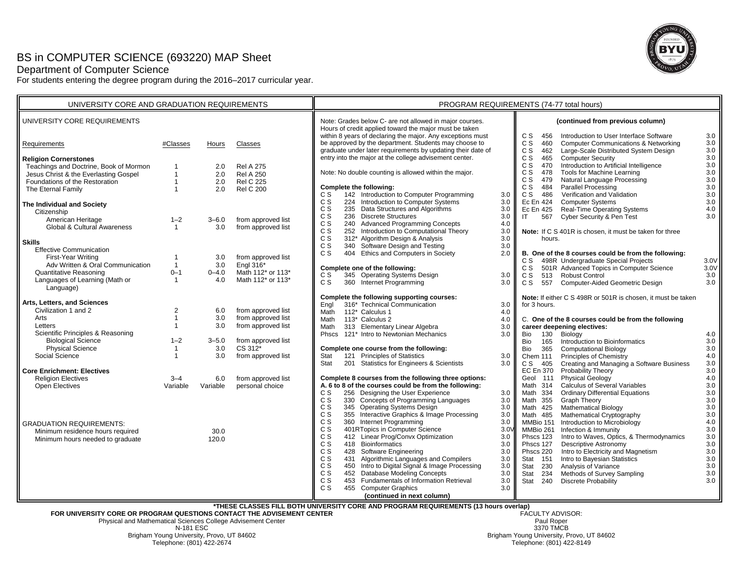## BS in COMPUTER SCIENCE (693220) MAP Sheet

Department of Computer Science

For students entering the degree program during the 2016–2017 curricular year.



| UNIVERSITY CORE AND GRADUATION REQUIREMENTS                                                                                                                                                                          |                                                                               |                                              |                                                                                                                       | PROGRAM REQUIREMENTS (74-77 total hours)                                                                                                                                                                                                                                                                                                                                                                                                                                                                                                       |                                                                                                                                                                                                                                                                                                                                                                                                                                                                                                |  |  |
|----------------------------------------------------------------------------------------------------------------------------------------------------------------------------------------------------------------------|-------------------------------------------------------------------------------|----------------------------------------------|-----------------------------------------------------------------------------------------------------------------------|------------------------------------------------------------------------------------------------------------------------------------------------------------------------------------------------------------------------------------------------------------------------------------------------------------------------------------------------------------------------------------------------------------------------------------------------------------------------------------------------------------------------------------------------|------------------------------------------------------------------------------------------------------------------------------------------------------------------------------------------------------------------------------------------------------------------------------------------------------------------------------------------------------------------------------------------------------------------------------------------------------------------------------------------------|--|--|
| UNIVERSITY CORE REQUIREMENTS                                                                                                                                                                                         |                                                                               |                                              |                                                                                                                       | Note: Grades below C- are not allowed in major courses.<br>Hours of credit applied toward the major must be taken<br>within 8 years of declaring the major. Any exceptions must                                                                                                                                                                                                                                                                                                                                                                | (continued from previous column)<br>C S<br>456<br>Introduction to User Interface Software<br>3.0                                                                                                                                                                                                                                                                                                                                                                                               |  |  |
| Requirements                                                                                                                                                                                                         | #Classes                                                                      | Hours                                        | Classes                                                                                                               | be approved by the department. Students may choose to<br>graduate under later requirements by updating their date of                                                                                                                                                                                                                                                                                                                                                                                                                           | C S<br>3.0<br><b>Computer Communications &amp; Networking</b><br>460<br>3.0<br>Large-Scale Distributed System Design<br>C S<br>462                                                                                                                                                                                                                                                                                                                                                             |  |  |
| <b>Religion Cornerstones</b><br>Teachings and Doctrine, Book of Mormon<br>Jesus Christ & the Everlasting Gospel<br>Foundations of the Restoration<br>The Eternal Family<br>The Individual and Society<br>Citizenship | $\mathbf{1}$<br>$\mathbf{1}$<br>$\mathbf{1}$<br>$\mathbf{1}$                  | 2.0<br>2.0<br>2.0<br>2.0                     | <b>Rel A 275</b><br><b>Rel A 250</b><br><b>Rel C 225</b><br><b>Rel C 200</b>                                          | entry into the major at the college advisement center.<br>Note: No double counting is allowed within the major.<br>Complete the following:<br>142 Introduction to Computer Programming<br>C S<br>3.0<br>224 Introduction to Computer Systems<br>C S<br>3.0<br>C S<br>235 Data Structures and Algorithms<br>3.0                                                                                                                                                                                                                                 | 3.0<br><b>Computer Security</b><br>C S<br>465<br>$3.0\,$<br>Introduction to Artificial Intelligence<br>C S<br>470<br>$3.0\,$<br>C S<br>Tools for Machine Learning<br>478<br>3.0<br>C S<br>Natural Language Processing<br>479<br>3.0<br>Parallel Processing<br>C S<br>484<br>Verification and Validation<br>3.0<br>C S<br>486<br>$3.0\,$<br><b>Computer Systems</b><br>Ec En 424<br>4.0<br>Real-Time Operating Systems<br>Ec En 425                                                             |  |  |
| American Heritage<br>Global & Cultural Awareness<br><b>Skills</b>                                                                                                                                                    | $1 - 2$<br>$\overline{1}$                                                     | $3 - 6.0$<br>3.0                             | from approved list<br>from approved list                                                                              | C S<br>236 Discrete Structures<br>3.0<br>240 Advanced Programming Concepts<br>C S<br>4.0<br>C S<br>252 Introduction to Computational Theory<br>3.0<br>312* Algorithm Design & Analysis<br>C S<br>3.0                                                                                                                                                                                                                                                                                                                                           | 3.0<br>Cyber Security & Pen Test<br>$\mathsf{I}$<br>567<br>Note: If C S 401R is chosen, it must be taken for three<br>hours.                                                                                                                                                                                                                                                                                                                                                                   |  |  |
| <b>Effective Communication</b><br>First-Year Writing<br>Adv Written & Oral Communication<br><b>Quantitative Reasoning</b><br>Languages of Learning (Math or<br>Language)                                             | -1<br>$\overline{1}$<br>$0 - 1$<br>$\overline{1}$                             | 3.0<br>3.0<br>$0 - 4.0$<br>4.0               | from approved list<br>Engl 316*<br>Math 112* or 113*<br>Math 112* or 113*                                             | c s<br>340 Software Design and Testing<br>3.0<br>404 Ethics and Computers in Society<br>C S<br>2.0<br>Complete one of the following:<br>345 Operating Systems Design<br>C S<br>3.0<br>360 Internet Programming<br>C S<br>3.0                                                                                                                                                                                                                                                                                                                   | B. One of the 8 courses could be from the following:<br>C S 498R Undergraduate Special Projects<br>3.0V<br>501R Advanced Topics in Computer Science<br>3.0V<br>C S<br>C S<br>513 Robust Control<br>3.0<br>3.0<br>C S 557 Computer-Aided Geometric Design                                                                                                                                                                                                                                       |  |  |
| Arts, Letters, and Sciences<br>Civilization 1 and 2<br>Arts<br>Letters<br>Scientific Principles & Reasoning<br><b>Biological Science</b><br><b>Physical Science</b><br>Social Science                                | 2<br>$\mathbf 1$<br>$\mathbf{1}$<br>$1 - 2$<br>$\mathbf{1}$<br>$\overline{1}$ | 6.0<br>3.0<br>3.0<br>$3 - 5.0$<br>3.0<br>3.0 | from approved list<br>from approved list<br>from approved list<br>from approved list<br>CS 312*<br>from approved list | Complete the following supporting courses:<br>316* Technical Communication<br>3.0<br>Enal<br>112* Calculus 1<br>Math<br>4.0<br>113* Calculus 2<br>Math<br>4.0<br>313 Elementary Linear Algebra<br>3.0<br>Math<br>Phscs 121* Intro to Newtonian Mechanics<br>3.0<br>Complete one course from the following:<br>Stat<br>121 Principles of Statistics<br>3.0                                                                                                                                                                                      | Note: If either C S 498R or 501R is chosen, it must be taken<br>for 3 hours.<br>C. One of the 8 courses could be from the following<br>career deepening electives:<br>Bio 130 Biology<br>4.0<br>3.0<br>Bio<br>Introduction to Bioinformatics<br>165<br>3.0<br>Bio<br>365<br><b>Computational Biology</b><br>4.0<br>Principles of Chemistry<br>Chem 111                                                                                                                                         |  |  |
| <b>Core Enrichment: Electives</b><br><b>Religion Electives</b><br><b>Open Electives</b>                                                                                                                              | $3 - 4$<br>Variable                                                           | 6.0<br>Variable                              | from approved list<br>personal choice                                                                                 | 201 Statistics for Engineers & Scientists<br>3.0<br>Stat<br>Complete 8 courses from the following three options:<br>A. 6 to 8 of the courses could be from the following:<br>256 Designing the User Experience<br>C S<br>3.0<br>C S<br>330 Concepts of Programming Languages<br>3.0<br>C S<br>345 Operating Systems Design<br>3.0<br>355 Interactive Graphics & Image Processing<br>C S<br>3.0                                                                                                                                                 | 3.0<br>C S 405<br>Creating and Managing a Software Business<br>3.0<br>Probability Theory<br><b>EC En 370</b><br>$4.0\,$<br>Physical Geology<br>Geol 111<br>3.0<br><b>Calculus of Several Variables</b><br>Math 314<br><b>Ordinary Differential Equations</b><br>3.0<br>Math 334<br>$3.0\,$<br>Graph Theory<br>Math 355<br>3.0<br>Mathematical Biology<br>Math 425<br>$3.0\,$<br>Mathematical Cryptography<br>Math 485                                                                          |  |  |
| <b>GRADUATION REQUIREMENTS:</b><br>Minimum residence hours required<br>Minimum hours needed to graduate                                                                                                              |                                                                               | 30.0<br>120.0                                |                                                                                                                       | 360 Internet Programming<br>C S<br>3.0<br>C S<br>401RTopics in Computer Science<br>3.0 <sub>b</sub><br>c s<br>412 Linear Prog/Convx Optimization<br>3.0<br>C S<br>418 Bioinformatics<br>3.0<br>C S<br>428 Software Engineering<br>3.0<br>C S<br>431 Algorithmic Languages and Compilers<br>3.0<br>450 Intro to Digital Signal & Image Processing<br>C S<br>3.0<br>c s<br>452 Database Modeling Concepts<br>3.0<br>453 Fundamentals of Information Retrieval<br>C S<br>3.0<br>C S<br>455 Computer Graphics<br>3.0<br>(continued in next column) | Introduction to Microbiology<br>4.0<br>MMBio 151<br>Infection & Immunity<br>$3.0\,$<br>MMBio 261<br>Intro to Waves, Optics, & Thermodynamics<br>$3.0\,$<br>Phscs 123<br>3.0<br><b>Descriptive Astronomy</b><br>Phscs 127<br>3.0<br>Intro to Electricity and Magnetism<br>Phscs 220<br>Intro to Bayesian Statistics<br>$3.0\,$<br>Stat 151<br>3.0<br>Analysis of Variance<br>Stat 230<br>$3.0\,$<br>Methods of Survey Sampling<br>Stat<br>234<br><b>Discrete Probability</b><br>3.0<br>Stat 240 |  |  |
| *THESE CLASSES FILL BOTH UNIVERSITY CORE AND PROGRAM REQUIREMENTS (13 hours overlap)<br>FOR UNIVERSITY CORE OR PROGRAM QUESTIONS CONTACT THE ADVISEMENT CENTER<br><b>FACULTY ADVISOR:</b>                            |                                                                               |                                              |                                                                                                                       |                                                                                                                                                                                                                                                                                                                                                                                                                                                                                                                                                |                                                                                                                                                                                                                                                                                                                                                                                                                                                                                                |  |  |

**FOR UNIVERSITY CORE OR PROGRAM QUESTIONS CONTACT THE ADVISEMENT CENTER**Physical and Mathematical Sciences College Advisement Center

N-181 ESCBrigham Young University, Provo, UT 84602 Telephone: (801) 422-2674

Paul Roper 3370 TMCBBrigham Young University, Provo, UT 84602 Telephone: (801) 422-8149